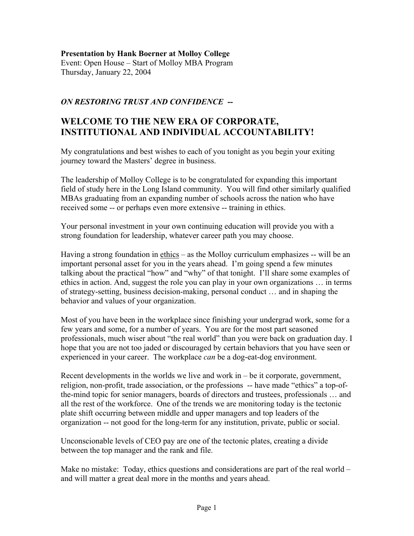### **Presentation by Hank Boerner at Molloy College**

Event: Open House – Start of Molloy MBA Program Thursday, January 22, 2004

# *ON RESTORING TRUST AND CONFIDENCE* **--**

# **WELCOME TO THE NEW ERA OF CORPORATE, INSTITUTIONAL AND INDIVIDUAL ACCOUNTABILITY!**

My congratulations and best wishes to each of you tonight as you begin your exiting journey toward the Masters' degree in business.

The leadership of Molloy College is to be congratulated for expanding this important field of study here in the Long Island community. You will find other similarly qualified MBAs graduating from an expanding number of schools across the nation who have received some -- or perhaps even more extensive -- training in ethics.

Your personal investment in your own continuing education will provide you with a strong foundation for leadership, whatever career path you may choose.

Having a strong foundation in ethics – as the Molloy curriculum emphasizes -- will be an important personal asset for you in the years ahead. I'm going spend a few minutes talking about the practical "how" and "why" of that tonight. I'll share some examples of ethics in action. And, suggest the role you can play in your own organizations … in terms of strategy-setting, business decision-making, personal conduct … and in shaping the behavior and values of your organization.

Most of you have been in the workplace since finishing your undergrad work, some for a few years and some, for a number of years. You are for the most part seasoned professionals, much wiser about "the real world" than you were back on graduation day. I hope that you are not too jaded or discouraged by certain behaviors that you have seen or experienced in your career. The workplace *can* be a dog-eat-dog environment.

Recent developments in the worlds we live and work in – be it corporate, government, religion, non-profit, trade association, or the professions -- have made "ethics" a top-ofthe-mind topic for senior managers, boards of directors and trustees, professionals … and all the rest of the workforce. One of the trends we are monitoring today is the tectonic plate shift occurring between middle and upper managers and top leaders of the organization -- not good for the long-term for any institution, private, public or social.

Unconscionable levels of CEO pay are one of the tectonic plates, creating a divide between the top manager and the rank and file.

Make no mistake: Today, ethics questions and considerations are part of the real world – and will matter a great deal more in the months and years ahead.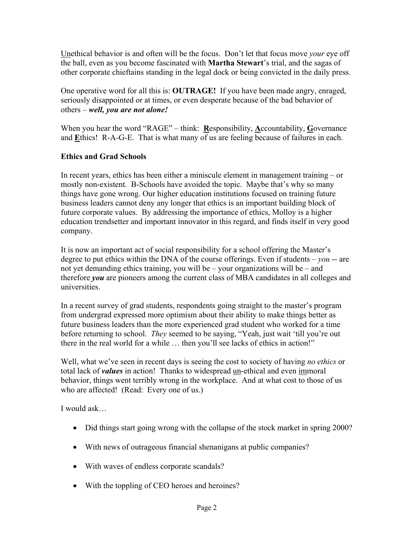Unethical behavior is and often will be the focus. Don't let that focus move *your* eye off the ball, even as you become fascinated with **Martha Stewart**'s trial, and the sagas of other corporate chieftains standing in the legal dock or being convicted in the daily press.

One operative word for all this is: **OUTRAGE!** If you have been made angry, enraged, seriously disappointed or at times, or even desperate because of the bad behavior of others – *well, you are not alone!* 

When you hear the word "RAGE" – think: Responsibility, Accountability, Governance and **E**thics! R-A-G-E. That is what many of us are feeling because of failures in each.

# **Ethics and Grad Schools**

In recent years, ethics has been either a miniscule element in management training – or mostly non-existent. B-Schools have avoided the topic. Maybe that's why so many things have gone wrong. Our higher education institutions focused on training future business leaders cannot deny any longer that ethics is an important building block of future corporate values. By addressing the importance of ethics, Molloy is a higher education trendsetter and important innovator in this regard, and finds itself in very good company.

It is now an important act of social responsibility for a school offering the Master's degree to put ethics within the DNA of the course offerings. Even if students  $-$  *you*  $-$  are not yet demanding ethics training, you will be – your organizations will be – and therefore *you* are pioneers among the current class of MBA candidates in all colleges and universities.

In a recent survey of grad students, respondents going straight to the master's program from undergrad expressed more optimism about their ability to make things better as future business leaders than the more experienced grad student who worked for a time before returning to school. *They* seemed to be saying, "Yeah, just wait 'till you're out there in the real world for a while … then you'll see lacks of ethics in action!"

Well, what we've seen in recent days is seeing the cost to society of having *no ethics* or total lack of *values* in action! Thanks to widespread un-ethical and even immoral behavior, things went terribly wrong in the workplace. And at what cost to those of us who are affected! (Read: Every one of us.)

I would ask…

- Did things start going wrong with the collapse of the stock market in spring 2000?
- With news of outrageous financial shenanigans at public companies?
- With waves of endless corporate scandals?
- With the toppling of CEO heroes and heroines?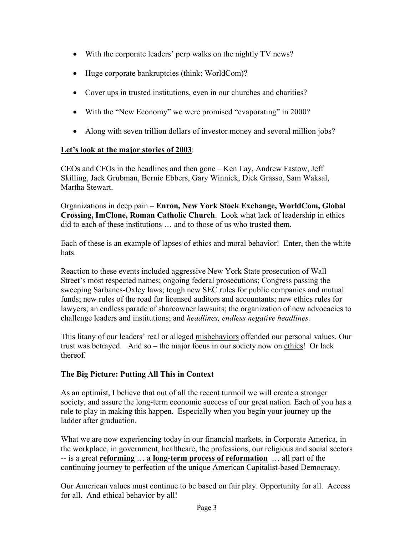- With the corporate leaders' perp walks on the nightly TV news?
- Huge corporate bankruptcies (think: WorldCom)?
- Cover ups in trusted institutions, even in our churches and charities?
- With the "New Economy" we were promised "evaporating" in 2000?
- Along with seven trillion dollars of investor money and several million jobs?

# **Let's look at the major stories of 2003**:

CEOs and CFOs in the headlines and then gone – Ken Lay, Andrew Fastow, Jeff Skilling, Jack Grubman, Bernie Ebbers, Gary Winnick, Dick Grasso, Sam Waksal, Martha Stewart.

Organizations in deep pain – **Enron, New York Stock Exchange, WorldCom, Global Crossing, ImClone, Roman Catholic Church**. Look what lack of leadership in ethics did to each of these institutions … and to those of us who trusted them.

Each of these is an example of lapses of ethics and moral behavior! Enter, then the white hats.

Reaction to these events included aggressive New York State prosecution of Wall Street's most respected names; ongoing federal prosecutions; Congress passing the sweeping Sarbanes-Oxley laws; tough new SEC rules for public companies and mutual funds; new rules of the road for licensed auditors and accountants; new ethics rules for lawyers; an endless parade of shareowner lawsuits; the organization of new advocacies to challenge leaders and institutions; and *headlines, endless negative headlines.* 

This litany of our leaders' real or alleged misbehaviors offended our personal values. Our trust was betrayed. And so – the major focus in our society now on ethics! Or lack thereof.

# **The Big Picture: Putting All This in Context**

As an optimist, I believe that out of all the recent turmoil we will create a stronger society, and assure the long-term economic success of our great nation. Each of you has a role to play in making this happen. Especially when you begin your journey up the ladder after graduation.

What we are now experiencing today in our financial markets, in Corporate America, in the workplace, in government, healthcare, the professions, our religious and social sectors -- is a great **reforming** … **a long-term process of reformation** … all part of the continuing journey to perfection of the unique American Capitalist-based Democracy.

Our American values must continue to be based on fair play. Opportunity for all. Access for all. And ethical behavior by all!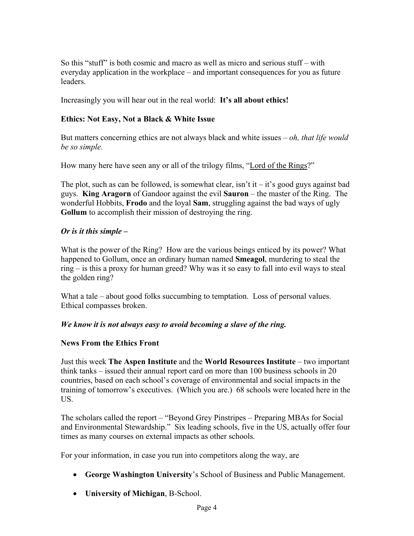So this "stuff" is both cosmic and macro as well as micro and serious stuff – with everyday application in the workplace – and important consequences for you as future leaders.

Increasingly you will hear out in the real world: **It's all about ethics!** 

### **Ethics: Not Easy, Not a Black & White Issue**

But matters concerning ethics are not always black and white issues – *oh, that life would be so simple.* 

How many here have seen any or all of the trilogy films, "Lord of the Rings?"

The plot, such as can be followed, is somewhat clear, isn't it – it's good guys against bad guys. **King Aragorn** of Gandoor against the evil **Sauron** – the master of the Ring. The wonderful Hobbits, **Frodo** and the loyal **Sam**, struggling against the bad ways of ugly **Gollum** to accomplish their mission of destroying the ring.

### *Or is it this simple –*

What is the power of the Ring? How are the various beings enticed by its power? What happened to Gollum, once an ordinary human named **Smeagol**, murdering to steal the ring – is this a proxy for human greed? Why was it so easy to fall into evil ways to steal the golden ring?

What a tale – about good folks succumbing to temptation. Loss of personal values. Ethical compasses broken.

### *We know it is not always easy to avoid becoming a slave of the ring.*

### **News From the Ethics Front**

Just this week **The Aspen Institute** and the **World Resources Institute** – two important think tanks – issued their annual report card on more than 100 business schools in 20 countries, based on each school's coverage of environmental and social impacts in the training of tomorrow's executives. (Which you are.) 68 schools were located here in the US.

The scholars called the report – "Beyond Grey Pinstripes – Preparing MBAs for Social and Environmental Stewardship." Six leading schools, five in the US, actually offer four times as many courses on external impacts as other schools.

For your information, in case you run into competitors along the way, are

- **George Washington University**'s School of Business and Public Management.
- **University of Michigan**, B-School.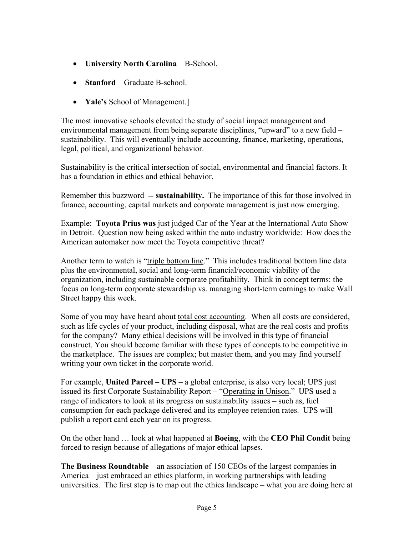- **University North Carolina** B-School.
- **Stanford** Graduate B-school.
- **Yale's** School of Management.]

The most innovative schools elevated the study of social impact management and environmental management from being separate disciplines, "upward" to a new field – sustainability. This will eventually include accounting, finance, marketing, operations, legal, political, and organizational behavior.

Sustainability is the critical intersection of social, environmental and financial factors. It has a foundation in ethics and ethical behavior.

Remember this buzzword -- **sustainability.** The importance of this for those involved in finance, accounting, capital markets and corporate management is just now emerging.

Example: **Toyota Prius was** just judged Car of the Year at the International Auto Show in Detroit. Question now being asked within the auto industry worldwide: How does the American automaker now meet the Toyota competitive threat?

Another term to watch is "triple bottom line." This includes traditional bottom line data plus the environmental, social and long-term financial/economic viability of the organization, including sustainable corporate profitability. Think in concept terms: the focus on long-term corporate stewardship vs. managing short-term earnings to make Wall Street happy this week.

Some of you may have heard about total cost accounting. When all costs are considered, such as life cycles of your product, including disposal, what are the real costs and profits for the company? Many ethical decisions will be involved in this type of financial construct. You should become familiar with these types of concepts to be competitive in the marketplace. The issues are complex; but master them, and you may find yourself writing your own ticket in the corporate world.

For example, **United Parcel – UPS** – a global enterprise, is also very local; UPS just issued its first Corporate Sustainability Report – "Operating in Unison." UPS used a range of indicators to look at its progress on sustainability issues – such as, fuel consumption for each package delivered and its employee retention rates. UPS will publish a report card each year on its progress.

On the other hand … look at what happened at **Boeing**, with the **CEO Phil Condit** being forced to resign because of allegations of major ethical lapses.

**The Business Roundtable** – an association of 150 CEOs of the largest companies in America – just embraced an ethics platform, in working partnerships with leading universities. The first step is to map out the ethics landscape – what you are doing here at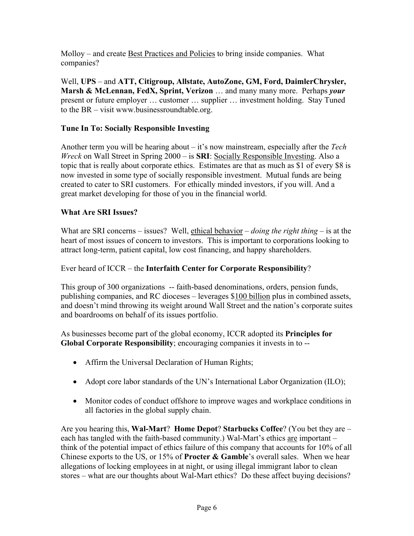Molloy – and create Best Practices and Policies to bring inside companies. What companies?

Well, **UPS** – and **ATT, Citigroup, Allstate, AutoZone, GM, Ford, DaimlerChrysler, Marsh & McLennan, FedX, Sprint, Verizon** … and many many more. Perhaps *your*  present or future employer … customer … supplier … investment holding. Stay Tuned to the BR – visit www.businessroundtable.org.

# **Tune In To: Socially Responsible Investing**

Another term you will be hearing about – it's now mainstream, especially after the *Tech Wreck* on Wall Street in Spring 2000 – is **SRI**: Socially Responsible Investing. Also a topic that is really about corporate ethics. Estimates are that as much as \$1 of every \$8 is now invested in some type of socially responsible investment. Mutual funds are being created to cater to SRI customers. For ethically minded investors, if you will. And a great market developing for those of you in the financial world.

# **What Are SRI Issues?**

What are SRI concerns – issues? Well, ethical behavior – *doing the right thing* – is at the heart of most issues of concern to investors. This is important to corporations looking to attract long-term, patient capital, low cost financing, and happy shareholders.

# Ever heard of ICCR – the **Interfaith Center for Corporate Responsibility**?

This group of 300 organizations -- faith-based denominations, orders, pension funds, publishing companies, and RC dioceses – leverages \$100 billion plus in combined assets, and doesn't mind throwing its weight around Wall Street and the nation's corporate suites and boardrooms on behalf of its issues portfolio.

As businesses become part of the global economy, ICCR adopted its **Principles for Global Corporate Responsibility**; encouraging companies it invests in to --

- Affirm the Universal Declaration of Human Rights;
- Adopt core labor standards of the UN's International Labor Organization (ILO);
- Monitor codes of conduct offshore to improve wages and workplace conditions in all factories in the global supply chain.

Are you hearing this, **Wal-Mart**? **Home Depot**? **Starbucks Coffee**? (You bet they are – each has tangled with the faith-based community.) Wal-Mart's ethics are important – think of the potential impact of ethics failure of this company that accounts for 10% of all Chinese exports to the US, or 15% of **Procter & Gamble**'s overall sales. When we hear allegations of locking employees in at night, or using illegal immigrant labor to clean stores – what are our thoughts about Wal-Mart ethics? Do these affect buying decisions?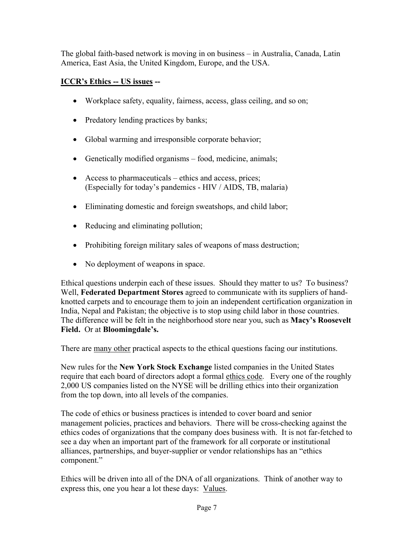The global faith-based network is moving in on business – in Australia, Canada, Latin America, East Asia, the United Kingdom, Europe, and the USA.

# **ICCR's Ethics -- US issues --**

- Workplace safety, equality, fairness, access, glass ceiling, and so on;
- Predatory lending practices by banks;
- Global warming and irresponsible corporate behavior;
- Genetically modified organisms food, medicine, animals;
- Access to pharmaceuticals ethics and access, prices; (Especially for today's pandemics - HIV / AIDS, TB, malaria)
- Eliminating domestic and foreign sweatshops, and child labor;
- Reducing and eliminating pollution;
- Prohibiting foreign military sales of weapons of mass destruction;
- No deployment of weapons in space.

Ethical questions underpin each of these issues. Should they matter to us? To business? Well, **Federated Department Stores** agreed to communicate with its suppliers of handknotted carpets and to encourage them to join an independent certification organization in India, Nepal and Pakistan; the objective is to stop using child labor in those countries. The difference will be felt in the neighborhood store near you, such as **Macy's Roosevelt Field.** Or at **Bloomingdale's.**

There are many other practical aspects to the ethical questions facing our institutions.

New rules for the **New York Stock Exchange** listed companies in the United States require that each board of directors adopt a formal ethics code. Every one of the roughly 2,000 US companies listed on the NYSE will be drilling ethics into their organization from the top down, into all levels of the companies.

The code of ethics or business practices is intended to cover board and senior management policies, practices and behaviors. There will be cross-checking against the ethics codes of organizations that the company does business with. It is not far-fetched to see a day when an important part of the framework for all corporate or institutional alliances, partnerships, and buyer-supplier or vendor relationships has an "ethics component."

Ethics will be driven into all of the DNA of all organizations. Think of another way to express this, one you hear a lot these days: Values.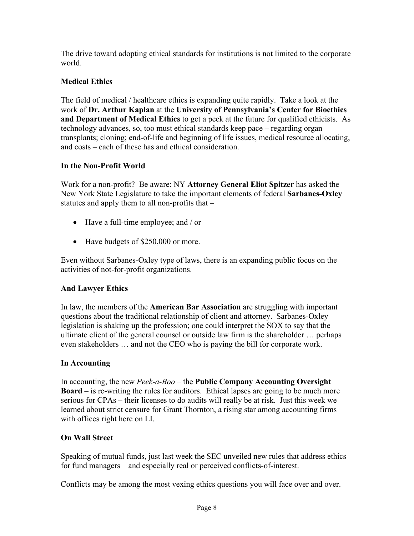The drive toward adopting ethical standards for institutions is not limited to the corporate world.

# **Medical Ethics**

The field of medical / healthcare ethics is expanding quite rapidly. Take a look at the work of **Dr. Arthur Kaplan** at the **University of Pennsylvania's Center for Bioethics and Department of Medical Ethics** to get a peek at the future for qualified ethicists. As technology advances, so, too must ethical standards keep pace – regarding organ transplants; cloning; end-of-life and beginning of life issues, medical resource allocating, and costs – each of these has and ethical consideration.

# **In the Non-Profit World**

Work for a non-profit? Be aware: NY **Attorney General Eliot Spitzer** has asked the New York State Legislature to take the important elements of federal **Sarbanes-Oxley** statutes and apply them to all non-profits that –

- Have a full-time employee; and / or
- Have budgets of \$250,000 or more.

Even without Sarbanes-Oxley type of laws, there is an expanding public focus on the activities of not-for-profit organizations.

# **And Lawyer Ethics**

In law, the members of the **American Bar Association** are struggling with important questions about the traditional relationship of client and attorney. Sarbanes-Oxley legislation is shaking up the profession; one could interpret the SOX to say that the ultimate client of the general counsel or outside law firm is the shareholder … perhaps even stakeholders … and not the CEO who is paying the bill for corporate work.

# **In Accounting**

In accounting, the new *Peek-a-Boo* – the **Public Company Accounting Oversight Board** – is re-writing the rules for auditors. Ethical lapses are going to be much more serious for CPAs – their licenses to do audits will really be at risk. Just this week we learned about strict censure for Grant Thornton, a rising star among accounting firms with offices right here on LI.

# **On Wall Street**

Speaking of mutual funds, just last week the SEC unveiled new rules that address ethics for fund managers – and especially real or perceived conflicts-of-interest.

Conflicts may be among the most vexing ethics questions you will face over and over.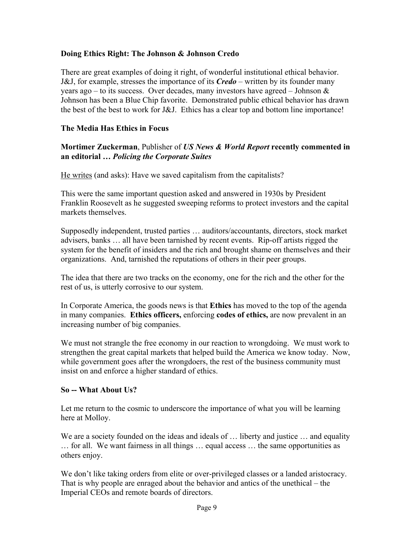### **Doing Ethics Right: The Johnson & Johnson Credo**

There are great examples of doing it right, of wonderful institutional ethical behavior. J&J, for example, stresses the importance of its *Credo* – written by its founder many years ago – to its success. Over decades, many investors have agreed – Johnson  $\&$ Johnson has been a Blue Chip favorite. Demonstrated public ethical behavior has drawn the best of the best to work for J&J. Ethics has a clear top and bottom line importance!

### **The Media Has Ethics in Focus**

### **Mortimer Zuckerman**, Publisher of *US News & World Report* **recently commented in an editorial …** *Policing the Corporate Suites*

He writes (and asks): Have we saved capitalism from the capitalists?

This were the same important question asked and answered in 1930s by President Franklin Roosevelt as he suggested sweeping reforms to protect investors and the capital markets themselves.

Supposedly independent, trusted parties … auditors/accountants, directors, stock market advisers, banks … all have been tarnished by recent events. Rip-off artists rigged the system for the benefit of insiders and the rich and brought shame on themselves and their organizations. And, tarnished the reputations of others in their peer groups.

The idea that there are two tracks on the economy, one for the rich and the other for the rest of us, is utterly corrosive to our system.

In Corporate America, the goods news is that **Ethics** has moved to the top of the agenda in many companies. **Ethics officers,** enforcing **codes of ethics,** are now prevalent in an increasing number of big companies.

We must not strangle the free economy in our reaction to wrongdoing. We must work to strengthen the great capital markets that helped build the America we know today. Now, while government goes after the wrongdoers, the rest of the business community must insist on and enforce a higher standard of ethics.

### **So -- What About Us?**

Let me return to the cosmic to underscore the importance of what you will be learning here at Molloy.

We are a society founded on the ideas and ideals of ... liberty and justice ... and equality … for all. We want fairness in all things … equal access … the same opportunities as others enjoy.

We don't like taking orders from elite or over-privileged classes or a landed aristocracy. That is why people are enraged about the behavior and antics of the unethical – the Imperial CEOs and remote boards of directors.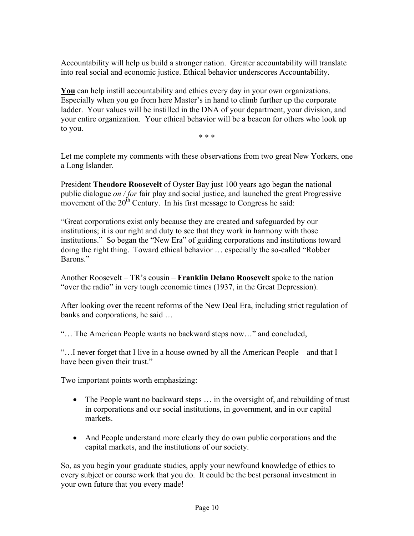Accountability will help us build a stronger nation. Greater accountability will translate into real social and economic justice. Ethical behavior underscores Accountability.

**You** can help instill accountability and ethics every day in your own organizations. Especially when you go from here Master's in hand to climb further up the corporate ladder. Your values will be instilled in the DNA of your department, your division, and your entire organization. Your ethical behavior will be a beacon for others who look up to you.

\* \* \*

Let me complete my comments with these observations from two great New Yorkers, one a Long Islander.

President **Theodore Roosevelt** of Oyster Bay just 100 years ago began the national public dialogue *on / for* fair play and social justice, and launched the great Progressive movement of the  $20^{th}$  Century. In his first message to Congress he said:

"Great corporations exist only because they are created and safeguarded by our institutions; it is our right and duty to see that they work in harmony with those institutions." So began the "New Era" of guiding corporations and institutions toward doing the right thing. Toward ethical behavior … especially the so-called "Robber Barons."

Another Roosevelt – TR's cousin – **Franklin Delano Roosevelt** spoke to the nation "over the radio" in very tough economic times (1937, in the Great Depression).

After looking over the recent reforms of the New Deal Era, including strict regulation of banks and corporations, he said …

"… The American People wants no backward steps now…" and concluded,

"…I never forget that I live in a house owned by all the American People – and that I have been given their trust."

Two important points worth emphasizing:

- The People want no backward steps ... in the oversight of, and rebuilding of trust in corporations and our social institutions, in government, and in our capital markets.
- And People understand more clearly they do own public corporations and the capital markets, and the institutions of our society.

So, as you begin your graduate studies, apply your newfound knowledge of ethics to every subject or course work that you do. It could be the best personal investment in your own future that you every made!